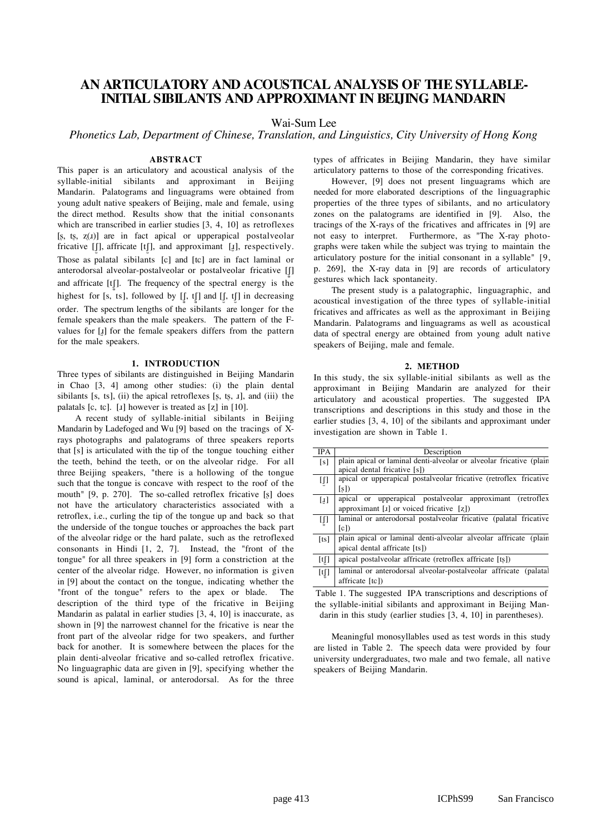# **AN ARTICULATORY AND ACOUSTICAL ANALYSIS OF THE SYLLABLE-INITIAL SIBILANTS AND APPROXIMANT IN BEIJING MANDARIN**

Wai-Sum Lee

*Phonetics Lab, Department of Chinese, Translation, and Linguistics, City University of Hong Kong*

## **ABSTRACT**

This paper is an articulatory and acoustical analysis of the syllable-initial sibilants and approximant in Beijing Mandarin. Palatograms and linguagrams were obtained from young adult native speakers of Beijing, male and female, using the direct method. Results show that the initial consonants which are transcribed in earlier studies [3, 4, 10] as retroflexes  $[s, ts, z(x)]$  are in fact apical or upperapical postalveolar fricative [J], affricate [tJ], and approximant [ $\text{I}$ ], respectively. Those as palatal sibilants [c] and [tc] are in fact laminal or anterodorsal alveolar-postalveolar or postalveolar fricative [[] and affricate  $[t]$ . The frequency of the spectral energy is the highest for [s, ts], followed by  $[[, t]]$  and  $[[, t]]$  in decreasing order. The spectrum lengths of the sibilants are longer for the female speakers than the male speakers. The pattern of the Fvalues for  $[x]$  for the female speakers differs from the pattern for the male speakers.

## **1. INTRODUCTION**

Three types of sibilants are distinguished in Beijing Mandarin in Chao [3, 4] among other studies: (i) the plain dental sibilants  $[s, ts]$ , (ii) the apical retroflexes  $[s, ts, x]$ , and (iii) the palatals [ $c$ ,  $tc$ ]. [ $I$ ] however is treated as [ $z$ ] in [10].

A recent study of syllable-initial sibilants in Beijing Mandarin by Ladefoged and Wu [9] based on the tracings of Xrays photographs and palatograms of three speakers reports that [s] is articulated with the tip of the tongue touching either the teeth, behind the teeth, or on the alveolar ridge. For all three Beijing speakers, "there is a hollowing of the tongue such that the tongue is concave with respect to the roof of the mouth" [9, p. 270]. The so-called retroflex fricative [ß] does not have the articulatory characteristics associated with a retroflex, i.e., curling the tip of the tongue up and back so that the underside of the tongue touches or approaches the back part of the alveolar ridge or the hard palate, such as the retroflexed consonants in Hindi [1, 2, 7]. Instead, the "front of the tongue" for all three speakers in [9] form a constriction at the center of the alveolar ridge. However, no information is given in [9] about the contact on the tongue, indicating whether the "front of the tongue" refers to the apex or blade. The description of the third type of the fricative in Beijing Mandarin as palatal in earlier studies [3, 4, 10] is inaccurate, as shown in [9] the narrowest channel for the fricative is near the front part of the alveolar ridge for two speakers, and further back for another. It is somewhere between the places for the plain denti-alveolar fricative and so-called retroflex fricative. No linguagraphic data are given in [9], specifying whether the sound is apical, laminal, or anterodorsal. As for the three

types of affricates in Beijing Mandarin, they have similar articulatory patterns to those of the corresponding fricatives.

However, [9] does not present linguagrams which are needed for more elaborated descriptions of the linguagraphic properties of the three types of sibilants, and no articulatory zones on the palatograms are identified in [9]. Also, the tracings of the X-rays of the fricatives and affricates in [9] are not easy to interpret. Furthermore, as "The X-ray photographs were taken while the subject was trying to maintain the articulatory posture for the initial consonant in a syllable" [9, p. 269], the X-ray data in [9] are records of articulatory gestures which lack spontaneity.

The present study is a palatographic, linguagraphic, and acoustical investigation of the three types of syllable-initial fricatives and affricates as well as the approximant in Beijing Mandarin. Palatograms and linguagrams as well as acoustical data of spectral energy are obtained from young adult native speakers of Beijing, male and female.

#### **2. METHOD**

In this study, the six syllable-initial sibilants as well as the approximant in Beijing Mandarin are analyzed for their articulatory and acoustical properties. The suggested IPA transcriptions and descriptions in this study and those in the earlier studies [3, 4, 10] of the sibilants and approximant under investigation are shown in Table 1.

| <b>IPA</b>                                                                                                                                                                                                                                                                                                                                                                                                                                                                                                    | Description                                                          |
|---------------------------------------------------------------------------------------------------------------------------------------------------------------------------------------------------------------------------------------------------------------------------------------------------------------------------------------------------------------------------------------------------------------------------------------------------------------------------------------------------------------|----------------------------------------------------------------------|
| [s]                                                                                                                                                                                                                                                                                                                                                                                                                                                                                                           | plain apical or laminal denti-alveolar or alveolar fricative (plain  |
|                                                                                                                                                                                                                                                                                                                                                                                                                                                                                                               | apical dental fricative [s])                                         |
| IJ                                                                                                                                                                                                                                                                                                                                                                                                                                                                                                            | apical or upperapical postalveolar fricative (retroflex fricative    |
|                                                                                                                                                                                                                                                                                                                                                                                                                                                                                                               | [s]                                                                  |
| $[1]$                                                                                                                                                                                                                                                                                                                                                                                                                                                                                                         | apical or upperapical postalveolar approximant (retroflex            |
|                                                                                                                                                                                                                                                                                                                                                                                                                                                                                                               | approximant [1] or voiced fricative $[z]$                            |
| IJ                                                                                                                                                                                                                                                                                                                                                                                                                                                                                                            | laminal or anterodorsal postalveolar fricative (palatal fricative    |
|                                                                                                                                                                                                                                                                                                                                                                                                                                                                                                               | [c]                                                                  |
| [ts]                                                                                                                                                                                                                                                                                                                                                                                                                                                                                                          | plain apical or laminal denti-alveolar alveolar affricate<br>(plain) |
|                                                                                                                                                                                                                                                                                                                                                                                                                                                                                                               | apical dental affricate [ts])                                        |
| [t]                                                                                                                                                                                                                                                                                                                                                                                                                                                                                                           | apical postalveolar affricate (retroflex affricate [ts])             |
| $[t] \centering% \includegraphics[width=1.0\textwidth]{Figures/PN1.png} \caption{The 3D (black) model for the 3D (black) model. The 3D (black) model is shown in Fig.~\ref{fig:1}, 1000~GeV. The 3D (black) model is shown in Fig.~\ref{fig:1}, 1000~GeV. The 3D (black) model is shown in Fig.~\ref{fig:1}, 1000~GeV. The 3D (black) model is shown in Fig.~\ref{fig:1}, 1000~GeV. The 3D (black) model is shown in Fig.~\ref{fig:1}, 1000~GeV. The 3D (black) model is shown in Fig.~\ref{fig:1}, 1000~GeV$ | laminal or anterodorsal alveolar-postalveolar affricate (palatal     |
|                                                                                                                                                                                                                                                                                                                                                                                                                                                                                                               | affricate $[tc]$                                                     |

Table 1. The suggested IPA transcriptions and descriptions of the syllable-initial sibilants and approximant in Beijing Mandarin in this study (earlier studies [3, 4, 10] in parentheses).

Meaningful monosyllables used as test words in this study are listed in Table 2. The speech data were provided by four university undergraduates, two male and two female, all native speakers of Beijing Mandarin.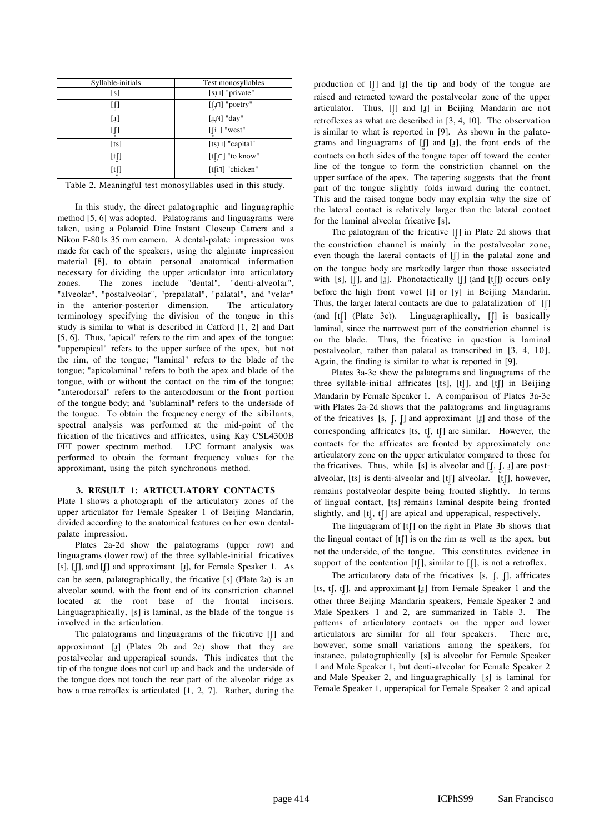| Syllable-initials | Test monosyllables                   |
|-------------------|--------------------------------------|
| [s]               | [sɪ <sup>-</sup> ] "private"         |
| IJ                | [ $\lfloor \int I \rceil$ ] "poetry" |
| $\left[1\right]$  | $[$ . $\mu$ <sup>v</sup> $]$ "day"   |
| [[]               | $[\lceil i \rceil]$ "west"           |
| [ts]              | [tsx] "capital"                      |
| [tʃ]              | [tʃi] "to know"                      |
| [tʃ]              | [tʃi <sup>-1</sup> ] "chicken"       |

Table 2. Meaningful test monosyllables used in this study.

In this study, the direct palatographic and linguagraphic method [5, 6] was adopted. Palatograms and linguagrams were taken, using a Polaroid Dine Instant Closeup Camera and a Nikon F-801s 35 mm camera. A dental-palate impression was made for each of the speakers, using the alginate impression material [8], to obtain personal anatomical information necessary for dividing the upper articulator into articulatory zones. The zones include "dental", "denti-alveolar", "alveolar", "postalveolar", "prepalatal", "palatal", and "velar" in the anterior-posterior dimension. The articulatory terminology specifying the division of the tongue in this study is similar to what is described in Catford [1, 2] and Dart [5, 6]. Thus, "apical" refers to the rim and apex of the tongue; "upperapical" refers to the upper surface of the apex, but not the rim, of the tongue; "laminal" refers to the blade of the tongue; "apicolaminal" refers to both the apex and blade of the tongue, with or without the contact on the rim of the tongue; "anterodorsal" refers to the anterodorsum or the front portion of the tongue body; and "sublaminal" refers to the underside of the tongue. To obtain the frequency energy of the sibilants, spectral analysis was performed at the mid-point of the frication of the fricatives and affricates, using Kay CSL4300B FFT power spectrum method. LPC formant analysis was performed to obtain the formant frequency values for the approximant, using the pitch synchronous method.

#### **3. RESULT 1: ARTICULATORY CONTACTS**

Plate 1 shows a photograph of the articulatory zones of the upper articulator for Female Speaker 1 of Beijing Mandarin, divided according to the anatomical features on her own dentalpalate impression.

Plates 2a-2d show the palatograms (upper row) and linguagrams (lower row) of the three syllable-initial fricatives [s],  $[[$ ], and  $[[$ ] and approximant [ $\lbrack$ ], for Female Speaker 1. As can be seen, palatographically, the fricative [s] (Plate 2a) is an alveolar sound, with the front end of its constriction channel located at the root base of the frontal incisors. Linguagraphically, [s] is laminal, as the blade of the tongue is involved in the articulation.

The palatograms and linguagrams of the fricative  $[[]$  and approximant  $\begin{bmatrix} 1 \end{bmatrix}$  (Plates 2b and 2c) show that they are postalveolar and upperapical sounds. This indicates that the tip of the tongue does not curl up and back and the underside of the tongue does not touch the rear part of the alveolar ridge as how a true retroflex is articulated [1, 2, 7]. Rather, during the

production of  $[]$  and  $[]$  the tip and body of the tongue are raised and retracted toward the postalveolar zone of the upper articulator. Thus, [J] and [H] in Beijing Mandarin are not retroflexes as what are described in [3, 4, 10]. The observation is similar to what is reported in [9]. As shown in the palatograms and linguagrams of  $[[]$  and  $[$ <del>.</del> $]$ , the front ends of the contacts on both sides of the tongue taper off toward the center line of the tongue to form the constriction channel on the upper surface of the apex. The tapering suggests that the front part of the tongue slightly folds inward during the contact. This and the raised tongue body may explain why the size of the lateral contact is relatively larger than the lateral contact for the laminal alveolar fricative [s].

The palatogram of the fricative  $\left[\int\right]$  in Plate 2d shows that the constriction channel is mainly in the postalveolar zone, even though the lateral contacts of [J] in the palatal zone and on the tongue body are markedly larger than those associated with [s], [J], and [ $_{\text{I}}$ ]. Phonotactically [J] (and [tJ]) occurs only before the high front vowel [i] or [y] in Beijing Mandarin. Thus, the larger lateral contacts are due to palatalization of  $\iiint$ (and  $[t]$ ] (Plate 3c)). Linguagraphically,  $[f]$  is basically laminal, since the narrowest part of the constriction channel is on the blade. Thus, the fricative in question is laminal postalveolar, rather than palatal as transcribed in [3, 4, 10]. Again, the finding is similar to what is reported in [9].

Plates 3a-3c show the palatograms and linguagrams of the three syllable-initial affricates [ts], [tʃ], and [tʃ] in Beijing Mandarin by Female Speaker 1. A comparison of Plates 3a-3c with Plates 2a-2d shows that the palatograms and linguagrams of the fricatives [s,  $\iint_S$ ] and approximant [ $\iint_S$ ] and those of the corresponding affricates [ts, tʃ], tʃ] are similar. However, the contacts for the affricates are fronted by approximately one articulatory zone on the upper articulator compared to those for the fricatives. Thus, while [s] is alveolar and  $[[, [,,]]$  are postalveolar, [ts] is denti-alveolar and  $[t]$ ] alveolar. [tʃ], however, remains postalveolar despite being fronted slightly. In terms of lingual contact, [ts] remains laminal despite being fronted slightly, and [tʃ], tʃ] are apical and upperapical, respectively.

The linguagram of  $[t]$  on the right in Plate 3b shows that the lingual contact of  $[t]$  is on the rim as well as the apex, but not the underside, of the tongue. This constitutes evidence in support of the contention [t[J], similar to [J], is not a retroflex.

The articulatory data of the fricatives [s,  $\int$ ,  $\int$ ], affricates [ts,  $t$ [,  $t$ [], and approximant [ $\boldsymbol{\psi}$ ] from Female Speaker 1 and the other three Beijing Mandarin speakers, Female Speaker 2 and Male Speakers 1 and 2, are summarized in Table 3. The patterns of articulatory contacts on the upper and lower articulators are similar for all four speakers. There are, however, some small variations among the speakers, for instance, palatographically [s] is alveolar for Female Speaker 1 and Male Speaker 1, but denti-alveolar for Female Speaker 2 and Male Speaker 2, and linguagraphically [s] is laminal for Female Speaker 1, upperapical for Female Speaker 2 and apical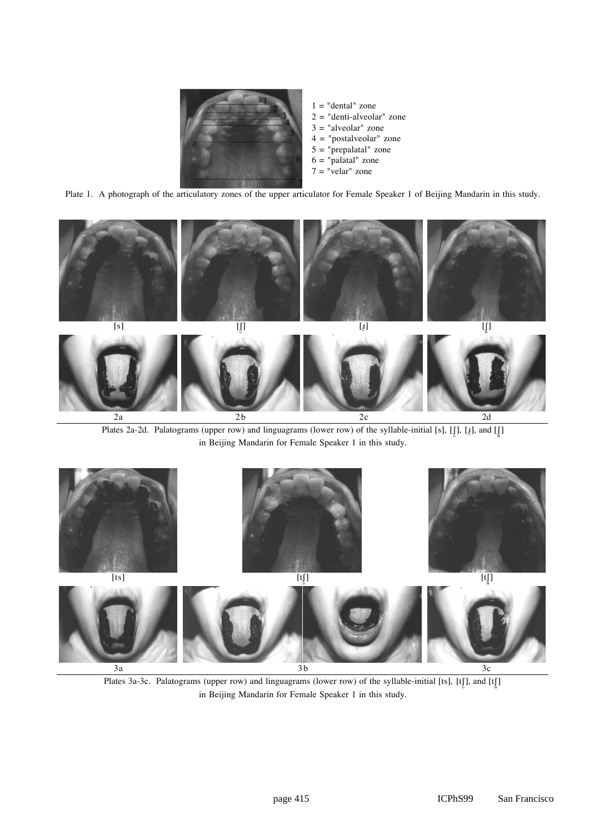

Plate 1. A photograph of the articulatory zones of the upper articulator for Female Speaker 1 of Beijing Mandarin in this study.



Plates 2a-2d. Palatograms (upper row) and linguagrams (lower row) of the syllable-initial [s], [J], [u], and [J] in Beijing Mandarin for Female Speaker 1 in this study.



Plates 3a-3c. Palatograms (upper row) and linguagrams (lower row) of the syllable-initial [ts], [tʃ], and [tʃ] in Beijing Mandarin for Female Speaker 1 in this study.